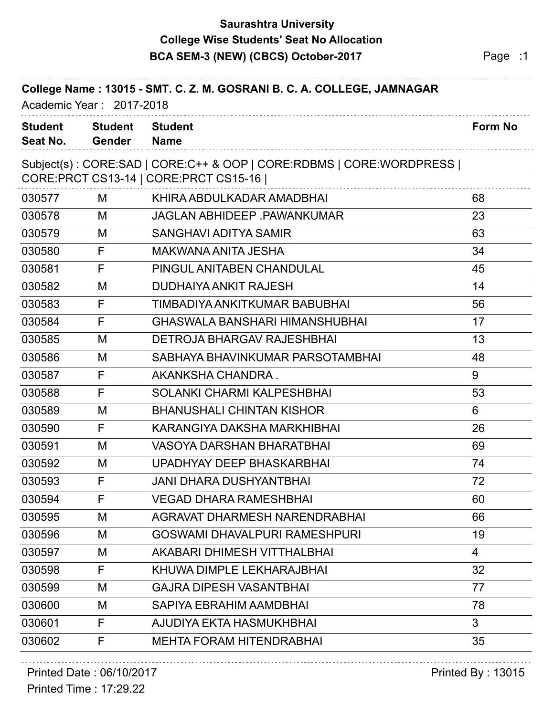### **Saurashtra University BCA SEM-3 (NEW) (CBCS) October-2017** Page :1 **College Wise Students' Seat No Allocation**

| Academic Year: 2017-2018   |                          | College Name: 13015 - SMT. C. Z. M. GOSRANI B. C. A. COLLEGE, JAMNAGAR |         |
|----------------------------|--------------------------|------------------------------------------------------------------------|---------|
| <b>Student</b><br>Seat No. | <b>Student</b><br>Gender | <b>Student</b><br><b>Name</b>                                          | Form No |
|                            |                          | Subject(s): CORE:SAD   CORE:C++ & OOP   CORE:RDBMS   CORE:WORDPRESS    |         |
|                            |                          | CORE: PRCT CS13-14   CORE: PRCT CS15-16                                |         |
| 030577                     | M                        | KHIRA ABDULKADAR AMADBHAI                                              | 68      |
| 030578                     | M                        | <b>JAGLAN ABHIDEEP .PAWANKUMAR</b>                                     | 23      |
| 030579                     | M                        | <b>SANGHAVI ADITYA SAMIR</b>                                           | 63      |
| 030580                     | F                        | MAKWANA ANITA JESHA                                                    | 34      |
| 030581                     | F                        | PINGUL ANITABEN CHANDULAL                                              | 45      |
| 030582                     | M                        | <b>DUDHAIYA ANKIT RAJESH</b>                                           | 14      |
| 030583                     | F                        | TIMBADIYA ANKITKUMAR BABUBHAI                                          | 56      |
| 030584                     | F                        | <b>GHASWALA BANSHARI HIMANSHUBHAI</b>                                  | 17      |
| 030585                     | M                        | <b>DETROJA BHARGAV RAJESHBHAI</b>                                      | 13      |
| 030586                     | M                        | SABHAYA BHAVINKUMAR PARSOTAMBHAI                                       | 48      |
| 030587                     | F                        | AKANKSHA CHANDRA.                                                      | 9       |
| 030588                     | F                        | <b>SOLANKI CHARMI KALPESHBHAI</b>                                      | 53      |
| 030589                     | M                        | <b>BHANUSHALI CHINTAN KISHOR</b>                                       | 6       |
| 030590                     | F                        | KARANGIYA DAKSHA MARKHIBHAI                                            | 26      |
| 030591                     | M                        | <b>VASOYA DARSHAN BHARATBHAI</b>                                       | 69      |
| 030592                     | M                        | UPADHYAY DEEP BHASKARBHAI                                              | 74      |
| 030593                     | F                        | JANI DHARA DUSHYANTBHAI                                                | 72      |
| 030594                     | F                        | <b>VEGAD DHARA RAMESHBHAI</b>                                          | 60      |
| 030595                     | М                        | AGRAVAT DHARMESH NARENDRABHAI                                          | 66      |
| 030596                     | M                        | <b>GOSWAMI DHAVALPURI RAMESHPURI</b>                                   | 19      |
| 030597                     | M                        | AKABARI DHIMESH VITTHALBHAI                                            | 4       |
| 030598                     | F                        | KHUWA DIMPLE LEKHARAJBHAI                                              | 32      |
| 030599                     | M                        | <b>GAJRA DIPESH VASANTBHAI</b>                                         | 77      |
| 030600                     | M                        | SAPIYA EBRAHIM AAMDBHAI                                                | 78      |
| 030601                     | F                        | AJUDIYA EKTA HASMUKHBHAI                                               | 3       |
| 030602                     | F                        | <b>MEHTA FORAM HITENDRABHAI</b>                                        | 35      |
|                            |                          |                                                                        |         |

Printed Time : 17:29.22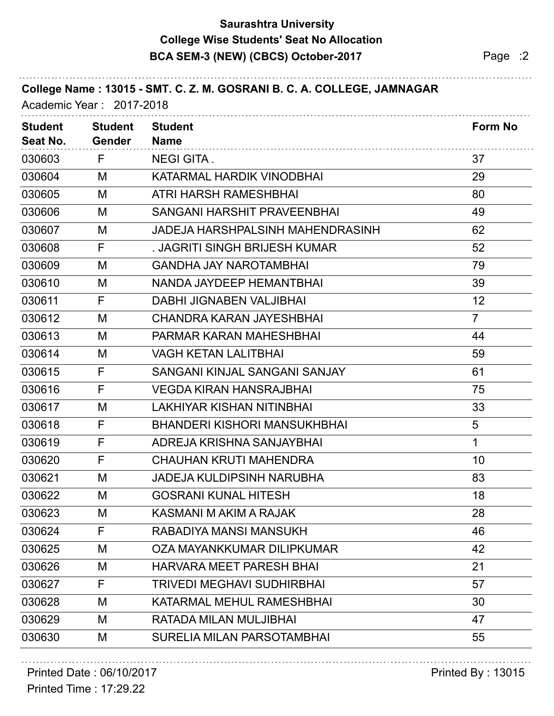### **Saurashtra University BCA SEM-3 (NEW) (CBCS) October-2017** Page :2 **College Wise Students' Seat No Allocation**

| College Name: 13015 - SMT. C. Z. M. GOSRANI B. C. A. COLLEGE, JAMNAGAR<br>Academic Year: 2017-2018 |                                 |                                     |                |  |  |
|----------------------------------------------------------------------------------------------------|---------------------------------|-------------------------------------|----------------|--|--|
| <b>Student</b><br>Seat No.                                                                         | <b>Student</b><br><b>Gender</b> | <b>Student</b><br><b>Name</b>       | Form No        |  |  |
| 030603                                                                                             | F                               | <b>NEGI GITA.</b>                   | 37             |  |  |
| 030604                                                                                             | М                               | KATARMAL HARDIK VINODBHAI           | 29             |  |  |
| 030605                                                                                             | M                               | ATRI HARSH RAMESHBHAI               | 80             |  |  |
| 030606                                                                                             | M                               | SANGANI HARSHIT PRAVEENBHAI         | 49             |  |  |
| 030607                                                                                             | M                               | JADEJA HARSHPALSINH MAHENDRASINH    | 62             |  |  |
| 030608                                                                                             | F                               | . JAGRITI SINGH BRIJESH KUMAR       | 52             |  |  |
| 030609                                                                                             | M                               | <b>GANDHA JAY NAROTAMBHAI</b>       | 79             |  |  |
| 030610                                                                                             | M                               | NANDA JAYDEEP HEMANTBHAI            | 39             |  |  |
| 030611                                                                                             | F                               | <b>DABHI JIGNABEN VALJIBHAI</b>     | 12             |  |  |
| 030612                                                                                             | M                               | CHANDRA KARAN JAYESHBHAI            | $\overline{7}$ |  |  |
| 030613                                                                                             | M                               | <b>PARMAR KARAN MAHESHBHAI</b>      | 44             |  |  |
| 030614                                                                                             | M                               | <b>VAGH KETAN LALITBHAI</b>         | 59             |  |  |
| 030615                                                                                             | F                               | SANGANI KINJAL SANGANI SANJAY       | 61             |  |  |
| 030616                                                                                             | F                               | <b>VEGDA KIRAN HANSRAJBHAI</b>      | 75             |  |  |
| 030617                                                                                             | M                               | <b>LAKHIYAR KISHAN NITINBHAI</b>    | 33             |  |  |
| 030618                                                                                             | F                               | <b>BHANDERI KISHORI MANSUKHBHAI</b> | 5              |  |  |
| 030619                                                                                             | F                               | ADREJA KRISHNA SANJAYBHAI           | 1              |  |  |
| 030620                                                                                             | F                               | <b>CHAUHAN KRUTI MAHENDRA</b>       | 10             |  |  |
| 030621                                                                                             | M                               | <b>JADEJA KULDIPSINH NARUBHA</b>    | 83             |  |  |
| 030622                                                                                             | M                               | <b>GOSRANI KUNAL HITESH</b>         | 18             |  |  |
| 030623                                                                                             | M                               | KASMANI M AKIM A RAJAK              | 28             |  |  |
| 030624                                                                                             | F                               | RABADIYA MANSI MANSUKH              | 46             |  |  |
| 030625                                                                                             | M                               | OZA MAYANKKUMAR DILIPKUMAR          | 42             |  |  |
| 030626                                                                                             | M                               | <b>HARVARA MEET PARESH BHAI</b>     | 21             |  |  |
| 030627                                                                                             | F                               | <b>TRIVEDI MEGHAVI SUDHIRBHAI</b>   | 57             |  |  |
| 030628                                                                                             | M                               | KATARMAL MEHUL RAMESHBHAI           | 30             |  |  |
| 030629                                                                                             | M                               | RATADA MILAN MULJIBHAI              | 47             |  |  |
| 030630                                                                                             | M                               | SURELIA MILAN PARSOTAMBHAI          | 55             |  |  |
|                                                                                                    |                                 |                                     |                |  |  |

#### Printed Date : 06/10/2017 **Printed By : 13015**

Printed Time : 17:29.22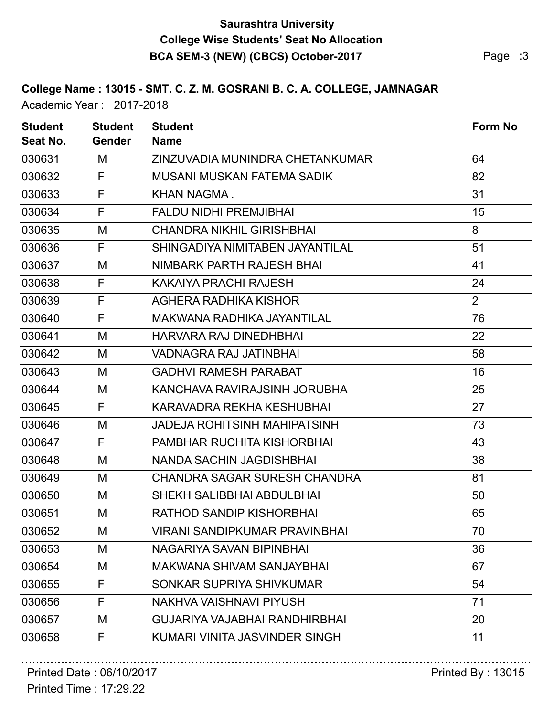### **Saurashtra University BCA SEM-3 (NEW) (CBCS) October-2017** Page :3 **College Wise Students' Seat No Allocation**

| College Name: 13015 - SMT. C. Z. M. GOSRANI B. C. A. COLLEGE, JAMNAGAR<br>Academic Year: 2017-2018 |                                 |                                      |                |  |
|----------------------------------------------------------------------------------------------------|---------------------------------|--------------------------------------|----------------|--|
| <b>Student</b><br>Seat No.                                                                         | <b>Student</b><br><b>Gender</b> | <b>Student</b><br><b>Name</b>        | <b>Form No</b> |  |
| 030631                                                                                             | M                               | ZINZUVADIA MUNINDRA CHETANKUMAR      | 64             |  |
| 030632                                                                                             | F                               | MUSANI MUSKAN FATEMA SADIK           | 82             |  |
| 030633                                                                                             | F                               | KHAN NAGMA.                          | 31             |  |
| 030634                                                                                             | F                               | <b>FALDU NIDHI PREMJIBHAI</b>        | 15             |  |
| 030635                                                                                             | M                               | <b>CHANDRA NIKHIL GIRISHBHAI</b>     | 8              |  |
| 030636                                                                                             | F                               | SHINGADIYA NIMITABEN JAYANTILAL      | 51             |  |
| 030637                                                                                             | M                               | NIMBARK PARTH RAJESH BHAI            | 41             |  |
| 030638                                                                                             | F                               | KAKAIYA PRACHI RAJESH                | 24             |  |
| 030639                                                                                             | F                               | AGHERA RADHIKA KISHOR                | $\overline{2}$ |  |
| 030640                                                                                             | F                               | MAKWANA RADHIKA JAYANTILAL           | 76             |  |
| 030641                                                                                             | M                               | <b>HARVARA RAJ DINEDHBHAI</b>        | 22             |  |
| 030642                                                                                             | M                               | <b>VADNAGRA RAJ JATINBHAI</b>        | 58             |  |
| 030643                                                                                             | M                               | <b>GADHVI RAMESH PARABAT</b>         | 16             |  |
| 030644                                                                                             | M                               | KANCHAVA RAVIRAJSINH JORUBHA         | 25             |  |
| 030645                                                                                             | F                               | KARAVADRA REKHA KESHUBHAI            | 27             |  |
| 030646                                                                                             | M                               | JADEJA ROHITSINH MAHIPATSINH         | 73             |  |
| 030647                                                                                             | F                               | <b>PAMBHAR RUCHITA KISHORBHAI</b>    | 43             |  |
| 030648                                                                                             | M                               | <b>NANDA SACHIN JAGDISHBHAI</b>      | 38             |  |
| 030649                                                                                             | M                               | <b>CHANDRA SAGAR SURESH CHANDRA</b>  | 81             |  |
| 030650                                                                                             | M                               | SHEKH SALIBBHAI ABDULBHAI            | 50             |  |
| 030651                                                                                             | M                               | RATHOD SANDIP KISHORBHAI             | 65             |  |
| 030652                                                                                             | M                               | <b>VIRANI SANDIPKUMAR PRAVINBHAI</b> | 70             |  |
| 030653                                                                                             | M                               | NAGARIYA SAVAN BIPINBHAI             | 36             |  |
| 030654                                                                                             | M                               | MAKWANA SHIVAM SANJAYBHAI            | 67             |  |
| 030655                                                                                             | F                               | SONKAR SUPRIYA SHIVKUMAR             | 54             |  |
| 030656                                                                                             | F                               | NAKHVA VAISHNAVI PIYUSH              | 71             |  |
| 030657                                                                                             | M                               | GUJARIYA VAJABHAI RANDHIRBHAI        | 20             |  |
| 030658                                                                                             | F                               | KUMARI VINITA JASVINDER SINGH        | 11             |  |
|                                                                                                    |                                 |                                      |                |  |

# Printed Date : 06/10/2017 **Printed By : 13015**

Printed Time : 17:29.22